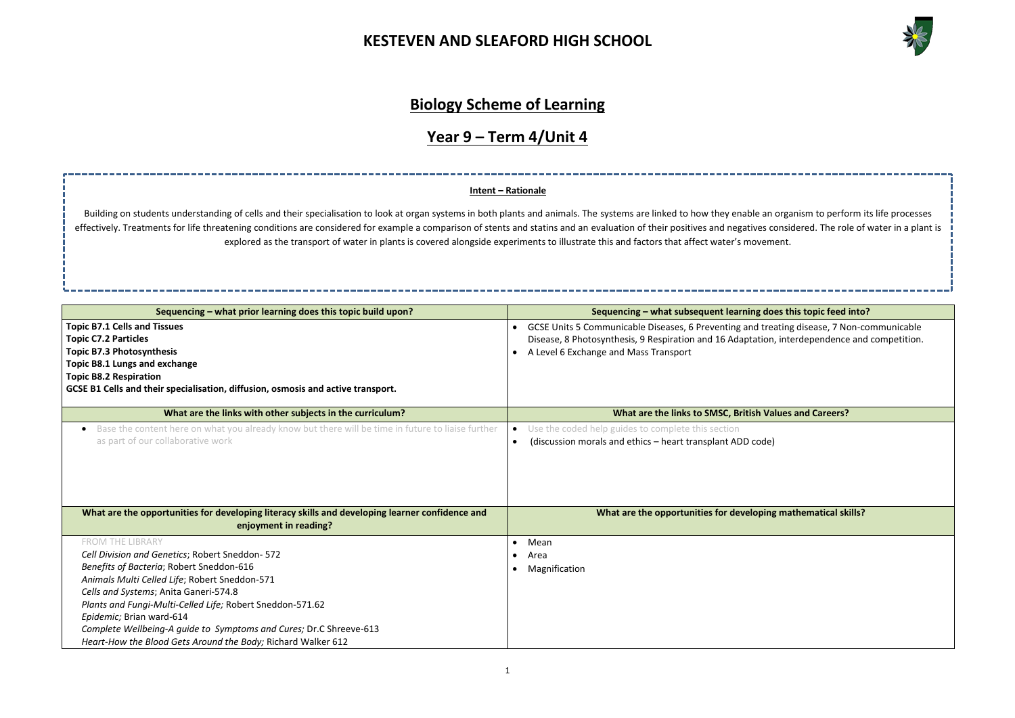

**Sequencing inding into topic feed into?** 

reating disease, 7 Non-communicable on, interdependence and competition.

**Walues and Careers?** 

**What are in proportions** ing mathematical skills?

### **Biology Scheme of Learning**

## **Year 9 – Term 4/Unit 4**

| Sequencing - what prior learning does this topic build upon?                                                                                                                                                                                                                  | Sequencing - what subsequent learning do                                                                                                                        |
|-------------------------------------------------------------------------------------------------------------------------------------------------------------------------------------------------------------------------------------------------------------------------------|-----------------------------------------------------------------------------------------------------------------------------------------------------------------|
| <b>Topic B7.1 Cells and Tissues</b><br><b>Topic C7.2 Particles</b><br><b>Topic B7.3 Photosynthesis</b><br>Topic B8.1 Lungs and exchange<br><b>Topic B8.2 Respiration</b><br>GCSE B1 Cells and their specialisation, diffusion, osmosis and active transport.                  | GCSE Units 5 Communicable Diseases, 6 Preventing and tre<br>Disease, 8 Photosynthesis, 9 Respiration and 16 Adaptation<br>A Level 6 Exchange and Mass Transport |
| What are the links with other subjects in the curriculum?                                                                                                                                                                                                                     | What are the links to SMSC, British Va                                                                                                                          |
| Base the content here on what you already know but there will be time in future to liaise further<br>as part of our collaborative work                                                                                                                                        | Use the coded help guides to complete this section<br>(discussion morals and ethics - heart transplant ADD code)<br>$\bullet$                                   |
| What are the opportunities for developing literacy skills and developing learner confidence and<br>enjoyment in reading?                                                                                                                                                      | What are the opportunities for developing                                                                                                                       |
| <b>FROM THE LIBRARY</b>                                                                                                                                                                                                                                                       | Mean<br>$\bullet$                                                                                                                                               |
| Cell Division and Genetics; Robert Sneddon-572<br>Benefits of Bacteria; Robert Sneddon-616<br>Animals Multi Celled Life; Robert Sneddon-571<br>Cells and Systems; Anita Ganeri-574.8<br>Plants and Fungi-Multi-Celled Life; Robert Sneddon-571.62<br>Epidemic; Brian ward-614 | Area<br>$\bullet$<br>Magnification<br>$\bullet$                                                                                                                 |
| Complete Wellbeing-A quide to Symptoms and Cures; Dr.C Shreeve-613<br>Heart-How the Blood Gets Around the Body; Richard Walker 612                                                                                                                                            |                                                                                                                                                                 |

Building on students understanding of cells and their specialisation to look at organ systems in both plants and animals. The systems are linked to how they enable an organism to perform its life processes effectively. Treatments for life threatening conditions are considered for example a comparison of stents and statins and an evaluation of their positives and negatives considered. The role of water in a plant is explored as the transport of water in plants is covered alongside experiments to illustrate this and factors that affect water's movement.

#### **Intent – Rationale**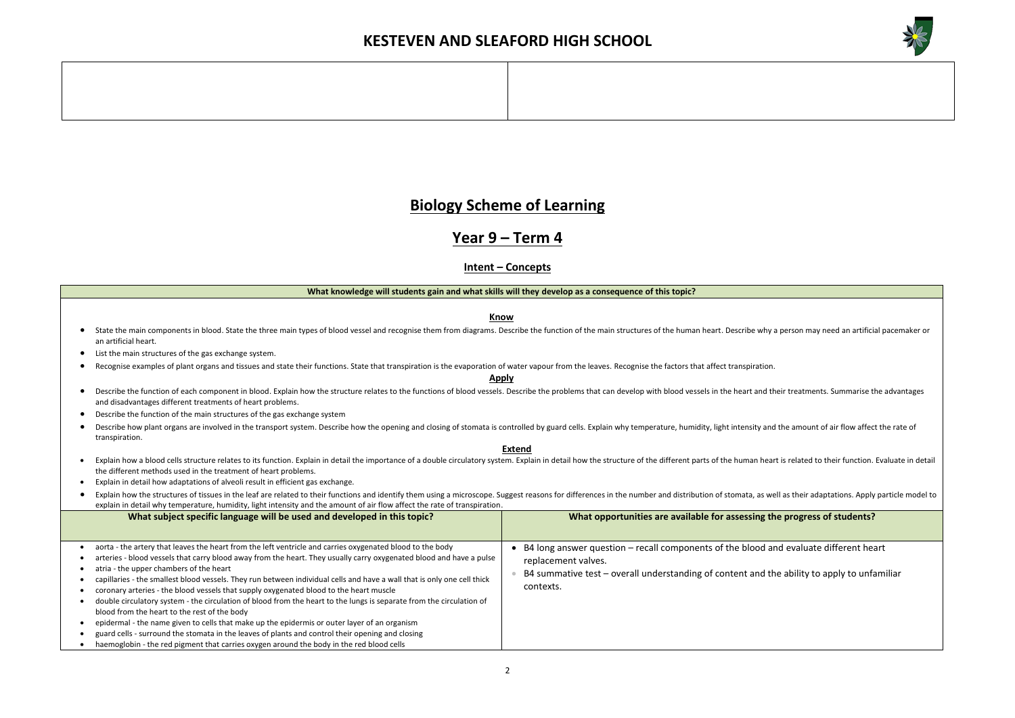

# **Biology Scheme of Learning**

# **Year 9 – Term 4**

### **Intent – Concepts**

|           | What knowledge will students gain and what skills will they develop as a consequence of this topic?                                                                                                                                                                                              |                                                                                                                                                                                                                                |  |  |  |  |  |
|-----------|--------------------------------------------------------------------------------------------------------------------------------------------------------------------------------------------------------------------------------------------------------------------------------------------------|--------------------------------------------------------------------------------------------------------------------------------------------------------------------------------------------------------------------------------|--|--|--|--|--|
|           |                                                                                                                                                                                                                                                                                                  |                                                                                                                                                                                                                                |  |  |  |  |  |
|           | <b>Know</b>                                                                                                                                                                                                                                                                                      |                                                                                                                                                                                                                                |  |  |  |  |  |
|           | State the main components in blood. State the three main types of blood vessel and recognise them from diagrams. Describe the function of the main structures of the human heart. Describe why a person may need an artificial<br>an artificial heart.                                           |                                                                                                                                                                                                                                |  |  |  |  |  |
|           | List the main structures of the gas exchange system.                                                                                                                                                                                                                                             |                                                                                                                                                                                                                                |  |  |  |  |  |
|           | Recognise examples of plant organs and tissues and state their functions. State that transpiration is the evaporation of water vapour from the leaves. Recognise the factors that affect transpiration.                                                                                          |                                                                                                                                                                                                                                |  |  |  |  |  |
|           | <b>Apply</b>                                                                                                                                                                                                                                                                                     |                                                                                                                                                                                                                                |  |  |  |  |  |
| $\bullet$ | and disadvantages different treatments of heart problems.                                                                                                                                                                                                                                        | Describe the function of each component in blood. Explain how the structure relates to the functions of blood vessels. Describe the problems that can develop with blood vessels in the heart and their treatments. Summarise  |  |  |  |  |  |
|           | Describe the function of the main structures of the gas exchange system                                                                                                                                                                                                                          |                                                                                                                                                                                                                                |  |  |  |  |  |
|           | transpiration.                                                                                                                                                                                                                                                                                   | Describe how plant organs are involved in the transport system. Describe how the opening and closing of stomata is controlled by guard cells. Explain why temperature, humidity, light intensity and the amount of air flow af |  |  |  |  |  |
|           |                                                                                                                                                                                                                                                                                                  | <b>Extend</b>                                                                                                                                                                                                                  |  |  |  |  |  |
|           | Explain how a blood cells structure relates to its function. Explain in detail the importance of a double circulatory system. Explain in detail how the structure of the different parts of the human heart is related to thei<br>the different methods used in the treatment of heart problems. |                                                                                                                                                                                                                                |  |  |  |  |  |
| $\bullet$ | Explain in detail how adaptations of alveoli result in efficient gas exchange.                                                                                                                                                                                                                   |                                                                                                                                                                                                                                |  |  |  |  |  |
| $\bullet$ |                                                                                                                                                                                                                                                                                                  | Explain how the structures of tissues in the leaf are related to their functions and identify them using a microscope. Suggest reasons for differences in the number and distribution of stomata, as well as their adaptations |  |  |  |  |  |
|           | explain in detail why temperature, humidity, light intensity and the amount of air flow affect the rate of transpiration.                                                                                                                                                                        |                                                                                                                                                                                                                                |  |  |  |  |  |
|           | What subject specific language will be used and developed in this topic?                                                                                                                                                                                                                         | What opportunities are available for assessing the progress of students?                                                                                                                                                       |  |  |  |  |  |
|           |                                                                                                                                                                                                                                                                                                  |                                                                                                                                                                                                                                |  |  |  |  |  |
|           | aorta - the artery that leaves the heart from the left ventricle and carries oxygenated blood to the body                                                                                                                                                                                        | • B4 long answer question – recall components of the blood and evaluate different heart                                                                                                                                        |  |  |  |  |  |
|           | arteries - blood vessels that carry blood away from the heart. They usually carry oxygenated blood and have a pulse                                                                                                                                                                              | replacement valves.                                                                                                                                                                                                            |  |  |  |  |  |
|           | atria - the upper chambers of the heart                                                                                                                                                                                                                                                          | B4 summative test – overall understanding of content and the ability to apply to unfamiliar                                                                                                                                    |  |  |  |  |  |
|           | capillaries - the smallest blood vessels. They run between individual cells and have a wall that is only one cell thick                                                                                                                                                                          |                                                                                                                                                                                                                                |  |  |  |  |  |
|           | coronary arteries - the blood vessels that supply oxygenated blood to the heart muscle                                                                                                                                                                                                           | contexts.                                                                                                                                                                                                                      |  |  |  |  |  |
|           | double circulatory system - the circulation of blood from the heart to the lungs is separate from the circulation of                                                                                                                                                                             |                                                                                                                                                                                                                                |  |  |  |  |  |
|           | blood from the heart to the rest of the body                                                                                                                                                                                                                                                     |                                                                                                                                                                                                                                |  |  |  |  |  |
|           | epidermal - the name given to cells that make up the epidermis or outer layer of an organism                                                                                                                                                                                                     |                                                                                                                                                                                                                                |  |  |  |  |  |
|           | guard cells - surround the stomata in the leaves of plants and control their opening and closing                                                                                                                                                                                                 |                                                                                                                                                                                                                                |  |  |  |  |  |
|           | haemoglobin - the red pigment that carries oxygen around the body in the red blood cells                                                                                                                                                                                                         |                                                                                                                                                                                                                                |  |  |  |  |  |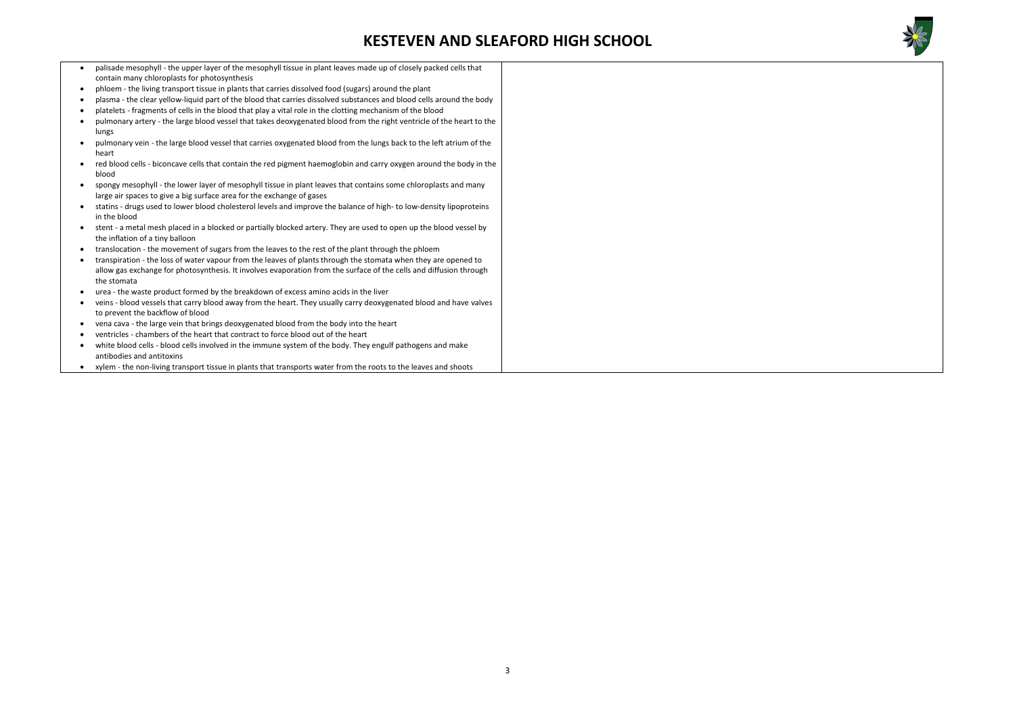

| palisade mesophyll - the upper layer of the mesophyll tissue in plant leaves made up of closely packed cells that<br>$\bullet$                        |  |
|-------------------------------------------------------------------------------------------------------------------------------------------------------|--|
| contain many chloroplasts for photosynthesis                                                                                                          |  |
| phloem - the living transport tissue in plants that carries dissolved food (sugars) around the plant<br>$\bullet$                                     |  |
| plasma - the clear yellow-liquid part of the blood that carries dissolved substances and blood cells around the body                                  |  |
| platelets - fragments of cells in the blood that play a vital role in the clotting mechanism of the blood<br>$\bullet$                                |  |
| pulmonary artery - the large blood vessel that takes deoxygenated blood from the right ventricle of the heart to the<br>lungs                         |  |
| pulmonary vein - the large blood vessel that carries oxygenated blood from the lungs back to the left atrium of the<br>heart                          |  |
| red blood cells - biconcave cells that contain the red pigment haemoglobin and carry oxygen around the body in the<br>blood                           |  |
| spongy mesophyll - the lower layer of mesophyll tissue in plant leaves that contains some chloroplasts and many                                       |  |
| large air spaces to give a big surface area for the exchange of gases                                                                                 |  |
| statins - drugs used to lower blood cholesterol levels and improve the balance of high- to low-density lipoproteins                                   |  |
| in the blood                                                                                                                                          |  |
| stent - a metal mesh placed in a blocked or partially blocked artery. They are used to open up the blood vessel by<br>the inflation of a tiny balloon |  |
| translocation - the movement of sugars from the leaves to the rest of the plant through the phloem<br>$\bullet$                                       |  |
| transpiration - the loss of water vapour from the leaves of plants through the stomata when they are opened to                                        |  |
| allow gas exchange for photosynthesis. It involves evaporation from the surface of the cells and diffusion through                                    |  |
| the stomata                                                                                                                                           |  |
| urea - the waste product formed by the breakdown of excess amino acids in the liver                                                                   |  |
| veins - blood vessels that carry blood away from the heart. They usually carry deoxygenated blood and have valves                                     |  |
| to prevent the backflow of blood                                                                                                                      |  |
| vena cava - the large vein that brings deoxygenated blood from the body into the heart                                                                |  |
| ventricles - chambers of the heart that contract to force blood out of the heart                                                                      |  |
| white blood cells - blood cells involved in the immune system of the body. They engulf pathogens and make<br>$\bullet$                                |  |
| antibodies and antitoxins                                                                                                                             |  |
| xylem - the non-living transport tissue in plants that transports water from the roots to the leaves and shoots<br>$\bullet$                          |  |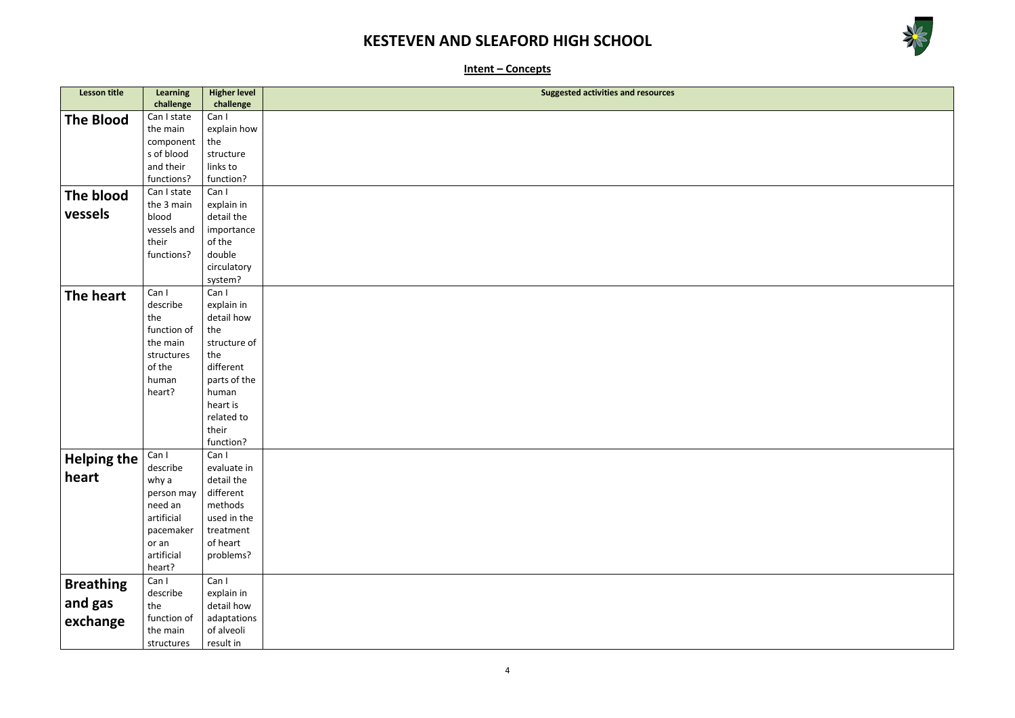

**Intent – Concepts**

| <b>Lesson title</b> | <b>Learning</b> | <b>Higher level</b> | <b>Suggested activities and resources</b> |
|---------------------|-----------------|---------------------|-------------------------------------------|
|                     | challenge       | challenge           |                                           |
| <b>The Blood</b>    | Can I state     | Can I               |                                           |
|                     | the main        | explain how         |                                           |
|                     | component       | the                 |                                           |
|                     | s of blood      | structure           |                                           |
|                     | and their       | links to            |                                           |
|                     | functions?      | function?           |                                           |
| The blood           | Can I state     | Can I               |                                           |
|                     | the 3 main      | explain in          |                                           |
| vessels             | blood           | detail the          |                                           |
|                     | vessels and     | importance          |                                           |
|                     | their           | of the              |                                           |
|                     | functions?      | double              |                                           |
|                     |                 | circulatory         |                                           |
|                     |                 | system?             |                                           |
| The heart           | Can I           | Can I               |                                           |
|                     | describe        | explain in          |                                           |
|                     | the             | detail how          |                                           |
|                     | function of     | the                 |                                           |
|                     | the main        | structure of        |                                           |
|                     | structures      | the                 |                                           |
|                     | of the          | different           |                                           |
|                     | human           | parts of the        |                                           |
|                     | heart?          | human               |                                           |
|                     |                 | heart is            |                                           |
|                     |                 | related to          |                                           |
|                     |                 | their               |                                           |
|                     |                 | function?           |                                           |
| <b>Helping the</b>  | Can I           | Can I               |                                           |
|                     | describe        | evaluate in         |                                           |
| heart               | why a           | detail the          |                                           |
|                     | person may      | different           |                                           |
|                     | need an         | methods             |                                           |
|                     | artificial      | used in the         |                                           |
|                     | pacemaker       | treatment           |                                           |
|                     | or an           | of heart            |                                           |
|                     | artificial      | problems?           |                                           |
|                     | heart?          |                     |                                           |
| <b>Breathing</b>    | Can I           | Can I               |                                           |
| and gas             | describe        | explain in          |                                           |
|                     | the             | detail how          |                                           |
| exchange            | function of     | adaptations         |                                           |
|                     | the main        | of alveoli          |                                           |
|                     | structures      | result in           |                                           |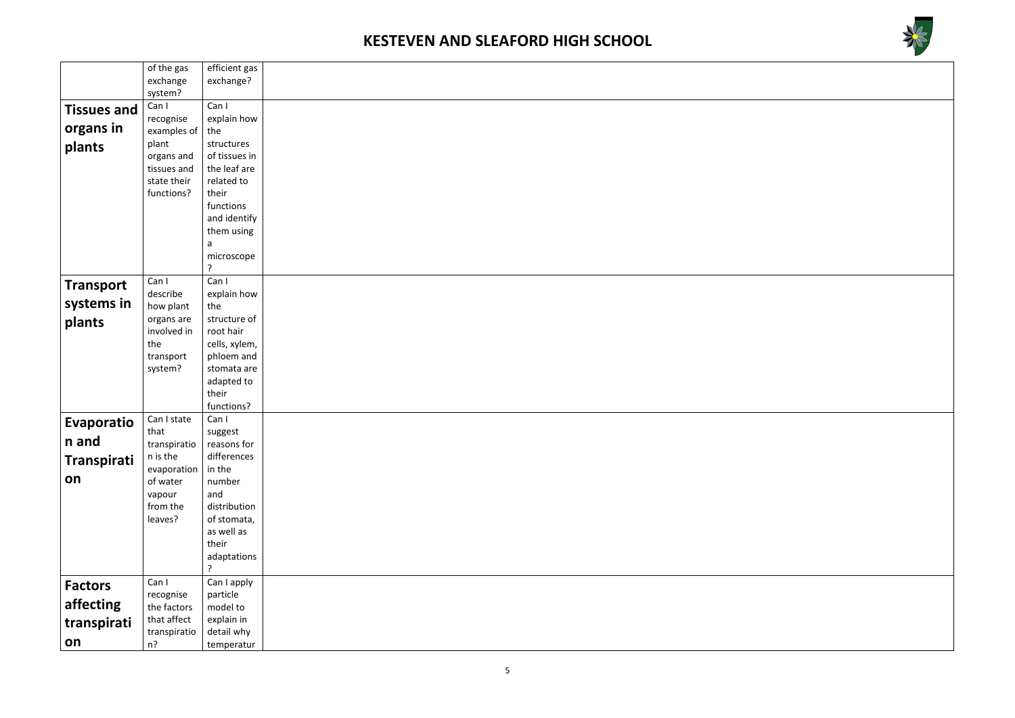



|                    | of the gas                | efficient gas             |  |
|--------------------|---------------------------|---------------------------|--|
|                    | exchange                  | exchange?                 |  |
|                    | system?                   |                           |  |
| <b>Tissues and</b> | Can I                     | Can I                     |  |
|                    | recognise                 | explain how               |  |
| organs in          | examples of               | the                       |  |
| plants             | plant                     | structures                |  |
|                    | organs and                | of tissues in             |  |
|                    | tissues and               | the leaf are              |  |
|                    | state their               | related to                |  |
|                    | functions?                | their                     |  |
|                    |                           | functions                 |  |
|                    |                           | and identify              |  |
|                    |                           | them using                |  |
|                    |                           | a                         |  |
|                    |                           | microscope                |  |
|                    |                           | ?                         |  |
| <b>Transport</b>   | Can I                     | Can I                     |  |
| systems in         | describe                  | explain how               |  |
|                    | how plant                 | the                       |  |
| plants             | organs are<br>involved in | structure of<br>root hair |  |
|                    | the                       | cells, xylem,             |  |
|                    | transport                 | phloem and                |  |
|                    | system?                   | stomata are               |  |
|                    |                           | adapted to                |  |
|                    |                           | their                     |  |
|                    |                           | functions?                |  |
| Evaporatio         | Can I state               | Can I                     |  |
|                    | that                      | suggest                   |  |
| n and              | transpiratio              | reasons for               |  |
| Transpirati        | n is the                  | differences               |  |
|                    | evaporation               | in the                    |  |
| on                 | of water                  | number                    |  |
|                    | vapour                    | and                       |  |
|                    | from the                  | distribution              |  |
|                    | leaves?                   | of stomata,               |  |
|                    |                           | as well as                |  |
|                    |                           | their                     |  |
|                    |                           | adaptations               |  |
|                    |                           | ?                         |  |
| <b>Factors</b>     | Can I                     | Can I apply               |  |
| affecting          | recognise                 | particle                  |  |
|                    | the factors               | model to                  |  |
| transpirati        | that affect               | explain in<br>detail why  |  |
| on                 | transpiratio<br>$n$ ?     | temperatur                |  |
|                    |                           |                           |  |